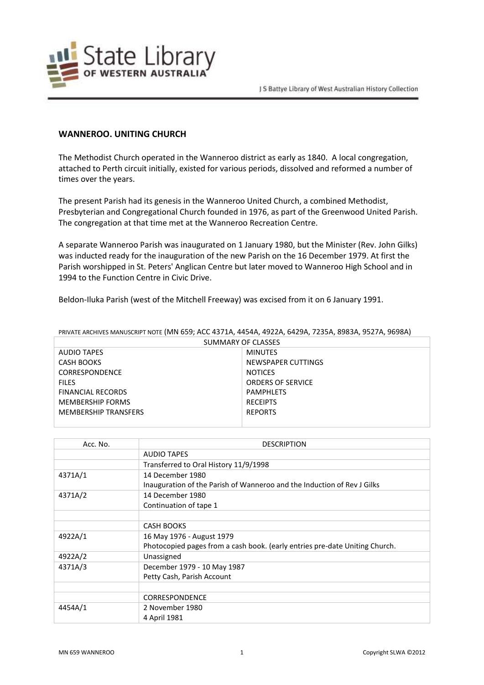

## **WANNEROO. UNITING CHURCH**

The Methodist Church operated in the Wanneroo district as early as 1840. A local congregation, attached to Perth circuit initially, existed for various periods, dissolved and reformed a number of times over the years.

The present Parish had its genesis in the Wanneroo United Church, a combined Methodist, Presbyterian and Congregational Church founded in 1976, as part of the Greenwood United Parish. The congregation at that time met at the Wanneroo Recreation Centre.

A separate Wanneroo Parish was inaugurated on 1 January 1980, but the Minister (Rev. John Gilks) was inducted ready for the inauguration of the new Parish on the 16 December 1979. At first the Parish worshipped in St. Peters' Anglican Centre but later moved to Wanneroo High School and in 1994 to the Function Centre in Civic Drive.

Beldon-Iluka Parish (west of the Mitchell Freeway) was excised from it on 6 January 1991.

| SUMMARY OF CLASSES          |                          |  |
|-----------------------------|--------------------------|--|
| <b>AUDIO TAPES</b>          | <b>MINUTES</b>           |  |
| CASH BOOKS                  | NEWSPAPER CUTTINGS       |  |
| <b>CORRESPONDENCE</b>       | <b>NOTICES</b>           |  |
| <b>FILES</b>                | <b>ORDERS OF SERVICE</b> |  |
| <b>FINANCIAL RECORDS</b>    | PAMPHLETS                |  |
| <b>MEMBERSHIP FORMS</b>     | <b>RECEIPTS</b>          |  |
| <b>MEMBERSHIP TRANSFERS</b> | <b>REPORTS</b>           |  |
|                             |                          |  |

PRIVATE ARCHIVES MANUSCRIPT NOTE (MN 659; ACC 4371A, 4454A, 4922A, 6429A, 7235A, 8983A, 9527A, 9698A)

| Acc. No. | <b>DESCRIPTION</b>                                                          |
|----------|-----------------------------------------------------------------------------|
|          | <b>AUDIO TAPES</b>                                                          |
|          | Transferred to Oral History 11/9/1998                                       |
| 4371A/1  | 14 December 1980                                                            |
|          | Inauguration of the Parish of Wanneroo and the Induction of Rev J Gilks     |
| 4371A/2  | 14 December 1980                                                            |
|          | Continuation of tape 1                                                      |
|          |                                                                             |
|          | <b>CASH BOOKS</b>                                                           |
| 4922A/1  | 16 May 1976 - August 1979                                                   |
|          | Photocopied pages from a cash book. (early entries pre-date Uniting Church. |
| 4922A/2  | Unassigned                                                                  |
| 4371A/3  | December 1979 - 10 May 1987                                                 |
|          | Petty Cash, Parish Account                                                  |
|          |                                                                             |
|          | <b>CORRESPONDENCE</b>                                                       |
| 4454A/1  | 2 November 1980                                                             |
|          | 4 April 1981                                                                |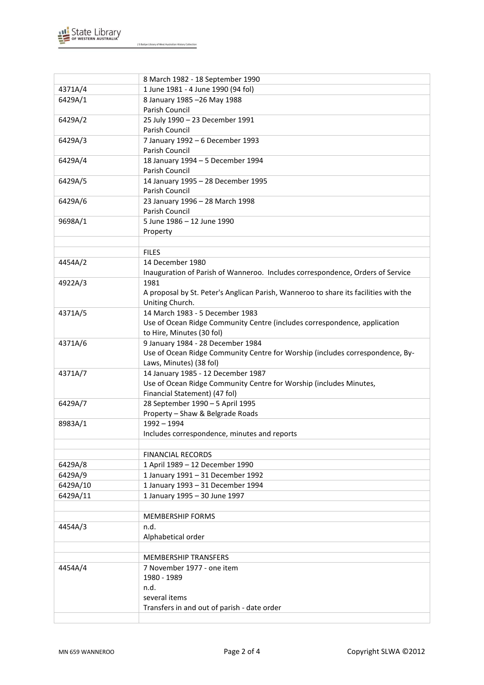

J S Battye Library of West Australian History Collection

|          | 8 March 1982 - 18 September 1990                                                     |
|----------|--------------------------------------------------------------------------------------|
| 4371A/4  | 1 June 1981 - 4 June 1990 (94 fol)                                                   |
| 6429A/1  | 8 January 1985 - 26 May 1988                                                         |
|          | Parish Council                                                                       |
| 6429A/2  | 25 July 1990 - 23 December 1991                                                      |
|          | Parish Council                                                                       |
| 6429A/3  | 7 January 1992 - 6 December 1993                                                     |
|          | Parish Council                                                                       |
| 6429A/4  | 18 January 1994 - 5 December 1994                                                    |
|          | Parish Council                                                                       |
| 6429A/5  | 14 January 1995 - 28 December 1995                                                   |
|          | Parish Council                                                                       |
| 6429A/6  | 23 January 1996 - 28 March 1998                                                      |
|          | Parish Council                                                                       |
| 9698A/1  | 5 June 1986 - 12 June 1990                                                           |
|          | Property                                                                             |
|          |                                                                                      |
|          | <b>FILES</b>                                                                         |
| 4454A/2  | 14 December 1980                                                                     |
|          | Inauguration of Parish of Wanneroo. Includes correspondence, Orders of Service       |
| 4922A/3  | 1981                                                                                 |
|          | A proposal by St. Peter's Anglican Parish, Wanneroo to share its facilities with the |
|          | Uniting Church.                                                                      |
| 4371A/5  | 14 March 1983 - 5 December 1983                                                      |
|          | Use of Ocean Ridge Community Centre (includes correspondence, application            |
|          | to Hire, Minutes (30 fol)                                                            |
| 4371A/6  | 9 January 1984 - 28 December 1984                                                    |
|          | Use of Ocean Ridge Community Centre for Worship (includes correspondence, By-        |
|          | Laws, Minutes) (38 fol)                                                              |
| 4371A/7  | 14 January 1985 - 12 December 1987                                                   |
|          | Use of Ocean Ridge Community Centre for Worship (includes Minutes,                   |
|          | Financial Statement) (47 fol)                                                        |
| 6429A/7  | 28 September 1990 - 5 April 1995                                                     |
|          | Property - Shaw & Belgrade Roads                                                     |
| 8983A/1  | $1992 - 1994$                                                                        |
|          | Includes correspondence, minutes and reports                                         |
|          |                                                                                      |
|          | <b>FINANCIAL RECORDS</b>                                                             |
| 6429A/8  | 1 April 1989 - 12 December 1990                                                      |
| 6429A/9  | 1 January 1991 - 31 December 1992                                                    |
| 6429A/10 | 1 January 1993 - 31 December 1994                                                    |
| 6429A/11 | 1 January 1995 - 30 June 1997                                                        |
|          |                                                                                      |
|          | <b>MEMBERSHIP FORMS</b>                                                              |
| 4454A/3  | n.d.                                                                                 |
|          | Alphabetical order                                                                   |
|          |                                                                                      |
|          |                                                                                      |
|          | <b>MEMBERSHIP TRANSFERS</b>                                                          |
| 4454A/4  | 7 November 1977 - one item                                                           |
|          | 1980 - 1989                                                                          |
|          | n.d.                                                                                 |
|          | several items                                                                        |
|          | Transfers in and out of parish - date order                                          |
|          |                                                                                      |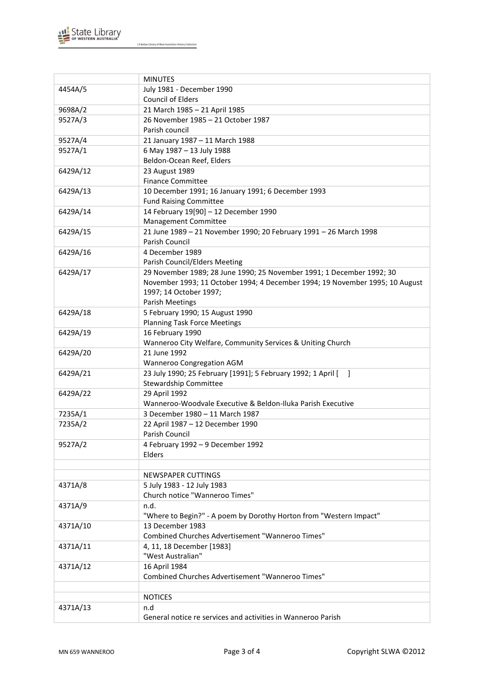

|          | <b>MINUTES</b>                                                               |
|----------|------------------------------------------------------------------------------|
| 4454A/5  | July 1981 - December 1990                                                    |
|          | Council of Elders                                                            |
| 9698A/2  | 21 March 1985 - 21 April 1985                                                |
| 9527A/3  | 26 November 1985 - 21 October 1987                                           |
|          | Parish council                                                               |
| 9527A/4  | 21 January 1987 - 11 March 1988                                              |
| 9527A/1  | 6 May 1987 - 13 July 1988                                                    |
|          | Beldon-Ocean Reef, Elders                                                    |
| 6429A/12 | 23 August 1989                                                               |
|          | <b>Finance Committee</b>                                                     |
| 6429A/13 | 10 December 1991; 16 January 1991; 6 December 1993                           |
|          | <b>Fund Raising Committee</b>                                                |
| 6429A/14 | 14 February 19[90] - 12 December 1990                                        |
|          | Management Committee                                                         |
| 6429A/15 | 21 June 1989 - 21 November 1990; 20 February 1991 - 26 March 1998            |
|          | Parish Council                                                               |
| 6429A/16 | 4 December 1989                                                              |
|          | Parish Council/Elders Meeting                                                |
| 6429A/17 | 29 November 1989; 28 June 1990; 25 November 1991; 1 December 1992; 30        |
|          | November 1993; 11 October 1994; 4 December 1994; 19 November 1995; 10 August |
|          | 1997; 14 October 1997;                                                       |
|          | <b>Parish Meetings</b>                                                       |
| 6429A/18 | 5 February 1990; 15 August 1990                                              |
|          | <b>Planning Task Force Meetings</b>                                          |
| 6429A/19 | 16 February 1990                                                             |
|          | Wanneroo City Welfare, Community Services & Uniting Church                   |
| 6429A/20 | 21 June 1992                                                                 |
|          | Wanneroo Congregation AGM                                                    |
| 6429A/21 | 23 July 1990; 25 February [1991]; 5 February 1992; 1 April [ ]               |
|          | Stewardship Committee                                                        |
| 6429A/22 | 29 April 1992                                                                |
|          | Wanneroo-Woodvale Executive & Beldon-Iluka Parish Executive                  |
| 7235A/1  | 3 December 1980 - 11 March 1987                                              |
| 7235A/2  | 22 April 1987 - 12 December 1990                                             |
|          | Parish Council                                                               |
| 9527A/2  | 4 February 1992 - 9 December 1992                                            |
|          | Elders                                                                       |
|          |                                                                              |
|          | <b>NEWSPAPER CUTTINGS</b>                                                    |
| 4371A/8  | 5 July 1983 - 12 July 1983                                                   |
|          | Church notice "Wanneroo Times"                                               |
| 4371A/9  | n.d.                                                                         |
|          | "Where to Begin?" - A poem by Dorothy Horton from "Western Impact"           |
| 4371A/10 | 13 December 1983                                                             |
|          | Combined Churches Advertisement "Wanneroo Times"                             |
| 4371A/11 | 4, 11, 18 December [1983]                                                    |
|          | "West Australian"                                                            |
| 4371A/12 | 16 April 1984                                                                |
|          | Combined Churches Advertisement "Wanneroo Times"                             |
|          |                                                                              |
|          | <b>NOTICES</b>                                                               |
| 4371A/13 | n.d                                                                          |
|          | General notice re services and activities in Wanneroo Parish                 |
|          |                                                                              |